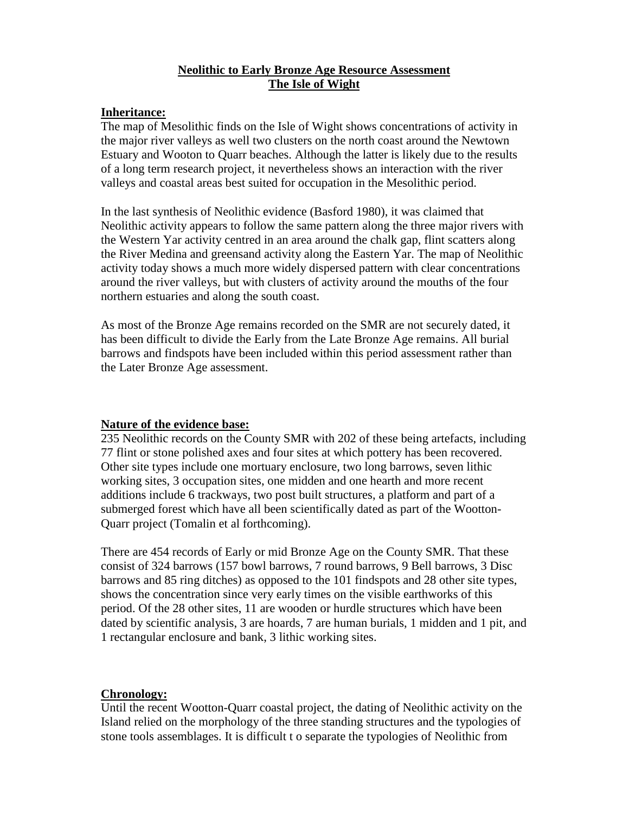# **Neolithic to Early Bronze Age Resource Assessment The Isle of Wight**

### **Inheritance:**

The map of Mesolithic finds on the Isle of Wight shows concentrations of activity in the major river valleys as well two clusters on the north coast around the Newtown Estuary and Wooton to Quarr beaches. Although the latter is likely due to the results of a long term research project, it nevertheless shows an interaction with the river valleys and coastal areas best suited for occupation in the Mesolithic period.

In the last synthesis of Neolithic evidence (Basford 1980), it was claimed that Neolithic activity appears to follow the same pattern along the three major rivers with the Western Yar activity centred in an area around the chalk gap, flint scatters along the River Medina and greensand activity along the Eastern Yar. The map of Neolithic activity today shows a much more widely dispersed pattern with clear concentrations around the river valleys, but with clusters of activity around the mouths of the four northern estuaries and along the south coast.

As most of the Bronze Age remains recorded on the SMR are not securely dated, it has been difficult to divide the Early from the Late Bronze Age remains. All burial barrows and findspots have been included within this period assessment rather than the Later Bronze Age assessment.

#### **Nature of the evidence base:**

235 Neolithic records on the County SMR with 202 of these being artefacts, including 77 flint or stone polished axes and four sites at which pottery has been recovered. Other site types include one mortuary enclosure, two long barrows, seven lithic working sites, 3 occupation sites, one midden and one hearth and more recent additions include 6 trackways, two post built structures, a platform and part of a submerged forest which have all been scientifically dated as part of the Wootton-Quarr project (Tomalin et al forthcoming).

There are 454 records of Early or mid Bronze Age on the County SMR. That these consist of 324 barrows (157 bowl barrows, 7 round barrows, 9 Bell barrows, 3 Disc barrows and 85 ring ditches) as opposed to the 101 findspots and 28 other site types, shows the concentration since very early times on the visible earthworks of this period. Of the 28 other sites, 11 are wooden or hurdle structures which have been dated by scientific analysis, 3 are hoards, 7 are human burials, 1 midden and 1 pit, and 1 rectangular enclosure and bank, 3 lithic working sites.

# **Chronology:**

Until the recent Wootton-Quarr coastal project, the dating of Neolithic activity on the Island relied on the morphology of the three standing structures and the typologies of stone tools assemblages. It is difficult t o separate the typologies of Neolithic from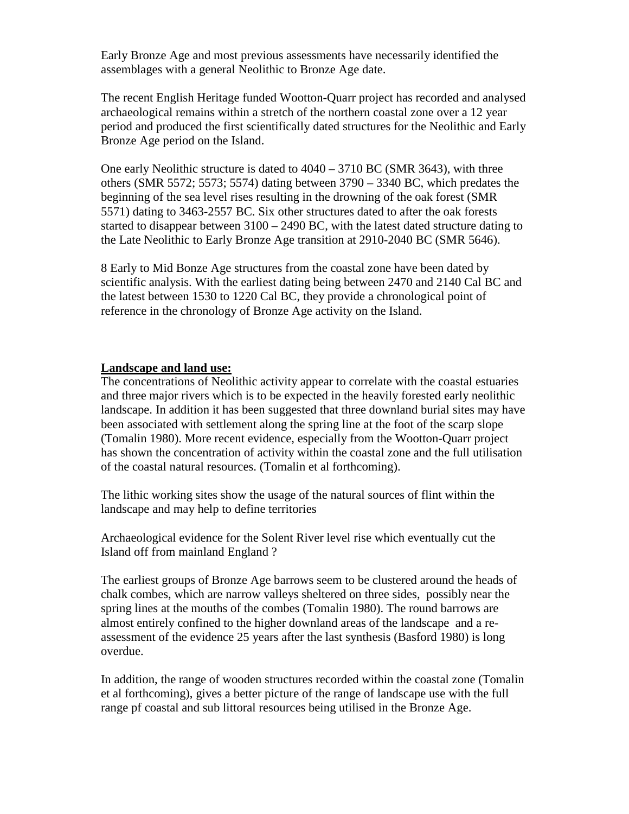Early Bronze Age and most previous assessments have necessarily identified the assemblages with a general Neolithic to Bronze Age date.

The recent English Heritage funded Wootton-Quarr project has recorded and analysed archaeological remains within a stretch of the northern coastal zone over a 12 year period and produced the first scientifically dated structures for the Neolithic and Early Bronze Age period on the Island.

One early Neolithic structure is dated to 4040 – 3710 BC (SMR 3643), with three others (SMR 5572; 5573; 5574) dating between 3790 – 3340 BC, which predates the beginning of the sea level rises resulting in the drowning of the oak forest (SMR 5571) dating to 3463-2557 BC. Six other structures dated to after the oak forests started to disappear between 3100 – 2490 BC, with the latest dated structure dating to the Late Neolithic to Early Bronze Age transition at 2910-2040 BC (SMR 5646).

8 Early to Mid Bonze Age structures from the coastal zone have been dated by scientific analysis. With the earliest dating being between 2470 and 2140 Cal BC and the latest between 1530 to 1220 Cal BC, they provide a chronological point of reference in the chronology of Bronze Age activity on the Island.

### **Landscape and land use:**

The concentrations of Neolithic activity appear to correlate with the coastal estuaries and three major rivers which is to be expected in the heavily forested early neolithic landscape. In addition it has been suggested that three downland burial sites may have been associated with settlement along the spring line at the foot of the scarp slope (Tomalin 1980). More recent evidence, especially from the Wootton-Quarr project has shown the concentration of activity within the coastal zone and the full utilisation of the coastal natural resources. (Tomalin et al forthcoming).

The lithic working sites show the usage of the natural sources of flint within the landscape and may help to define territories

Archaeological evidence for the Solent River level rise which eventually cut the Island off from mainland England ?

The earliest groups of Bronze Age barrows seem to be clustered around the heads of chalk combes, which are narrow valleys sheltered on three sides, possibly near the spring lines at the mouths of the combes (Tomalin 1980). The round barrows are almost entirely confined to the higher downland areas of the landscape and a reassessment of the evidence 25 years after the last synthesis (Basford 1980) is long overdue.

In addition, the range of wooden structures recorded within the coastal zone (Tomalin et al forthcoming), gives a better picture of the range of landscape use with the full range pf coastal and sub littoral resources being utilised in the Bronze Age.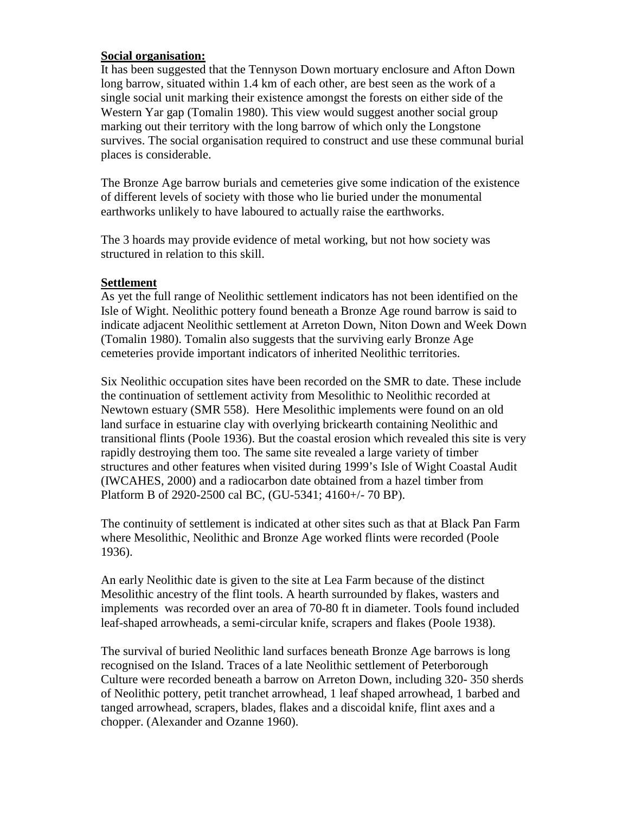### **Social organisation:**

It has been suggested that the Tennyson Down mortuary enclosure and Afton Down long barrow, situated within 1.4 km of each other, are best seen as the work of a single social unit marking their existence amongst the forests on either side of the Western Yar gap (Tomalin 1980). This view would suggest another social group marking out their territory with the long barrow of which only the Longstone survives. The social organisation required to construct and use these communal burial places is considerable.

The Bronze Age barrow burials and cemeteries give some indication of the existence of different levels of society with those who lie buried under the monumental earthworks unlikely to have laboured to actually raise the earthworks.

The 3 hoards may provide evidence of metal working, but not how society was structured in relation to this skill.

### **Settlement**

As yet the full range of Neolithic settlement indicators has not been identified on the Isle of Wight. Neolithic pottery found beneath a Bronze Age round barrow is said to indicate adjacent Neolithic settlement at Arreton Down, Niton Down and Week Down (Tomalin 1980). Tomalin also suggests that the surviving early Bronze Age cemeteries provide important indicators of inherited Neolithic territories.

Six Neolithic occupation sites have been recorded on the SMR to date. These include the continuation of settlement activity from Mesolithic to Neolithic recorded at Newtown estuary (SMR 558). Here Mesolithic implements were found on an old land surface in estuarine clay with overlying brickearth containing Neolithic and transitional flints (Poole 1936). But the coastal erosion which revealed this site is very rapidly destroying them too. The same site revealed a large variety of timber structures and other features when visited during 1999's Isle of Wight Coastal Audit (IWCAHES, 2000) and a radiocarbon date obtained from a hazel timber from Platform B of 2920-2500 cal BC, (GU-5341; 4160+/- 70 BP).

The continuity of settlement is indicated at other sites such as that at Black Pan Farm where Mesolithic, Neolithic and Bronze Age worked flints were recorded (Poole 1936).

An early Neolithic date is given to the site at Lea Farm because of the distinct Mesolithic ancestry of the flint tools. A hearth surrounded by flakes, wasters and implements was recorded over an area of 70-80 ft in diameter. Tools found included leaf-shaped arrowheads, a semi-circular knife, scrapers and flakes (Poole 1938).

The survival of buried Neolithic land surfaces beneath Bronze Age barrows is long recognised on the Island. Traces of a late Neolithic settlement of Peterborough Culture were recorded beneath a barrow on Arreton Down, including 320- 350 sherds of Neolithic pottery, petit tranchet arrowhead, 1 leaf shaped arrowhead, 1 barbed and tanged arrowhead, scrapers, blades, flakes and a discoidal knife, flint axes and a chopper. (Alexander and Ozanne 1960).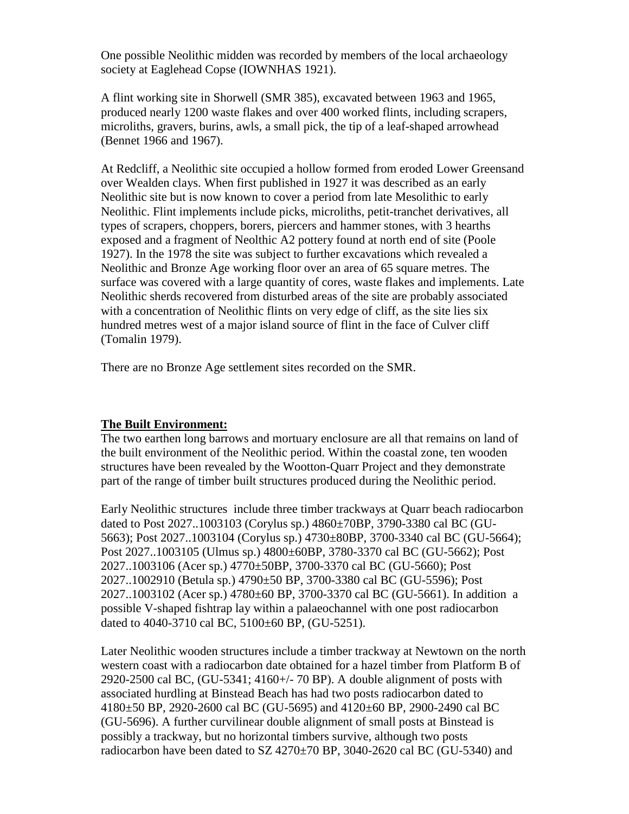One possible Neolithic midden was recorded by members of the local archaeology society at Eaglehead Copse (IOWNHAS 1921).

A flint working site in Shorwell (SMR 385), excavated between 1963 and 1965, produced nearly 1200 waste flakes and over 400 worked flints, including scrapers, microliths, gravers, burins, awls, a small pick, the tip of a leaf-shaped arrowhead (Bennet 1966 and 1967).

At Redcliff, a Neolithic site occupied a hollow formed from eroded Lower Greensand over Wealden clays. When first published in 1927 it was described as an early Neolithic site but is now known to cover a period from late Mesolithic to early Neolithic. Flint implements include picks, microliths, petit-tranchet derivatives, all types of scrapers, choppers, borers, piercers and hammer stones, with 3 hearths exposed and a fragment of Neolthic A2 pottery found at north end of site (Poole 1927). In the 1978 the site was subject to further excavations which revealed a Neolithic and Bronze Age working floor over an area of 65 square metres. The surface was covered with a large quantity of cores, waste flakes and implements. Late Neolithic sherds recovered from disturbed areas of the site are probably associated with a concentration of Neolithic flints on very edge of cliff, as the site lies six hundred metres west of a major island source of flint in the face of Culver cliff (Tomalin 1979).

There are no Bronze Age settlement sites recorded on the SMR.

# **The Built Environment:**

The two earthen long barrows and mortuary enclosure are all that remains on land of the built environment of the Neolithic period. Within the coastal zone, ten wooden structures have been revealed by the Wootton-Quarr Project and they demonstrate part of the range of timber built structures produced during the Neolithic period.

Early Neolithic structures include three timber trackways at Quarr beach radiocarbon dated to Post 2027..1003103 (Corylus sp.) 4860±70BP, 3790-3380 cal BC (GU-5663); Post 2027..1003104 (Corylus sp.) 4730±80BP, 3700-3340 cal BC (GU-5664); Post 2027..1003105 (Ulmus sp.) 4800±60BP, 3780-3370 cal BC (GU-5662); Post 2027..1003106 (Acer sp.) 4770±50BP, 3700-3370 cal BC (GU-5660); Post 2027..1002910 (Betula sp.) 4790±50 BP, 3700-3380 cal BC (GU-5596); Post 2027..1003102 (Acer sp.) 4780±60 BP, 3700-3370 cal BC (GU-5661). In addition a possible V-shaped fishtrap lay within a palaeochannel with one post radiocarbon dated to 4040-3710 cal BC, 5100±60 BP, (GU-5251).

Later Neolithic wooden structures include a timber trackway at Newtown on the north western coast with a radiocarbon date obtained for a hazel timber from Platform B of 2920-2500 cal BC, (GU-5341; 4160+/- 70 BP). A double alignment of posts with associated hurdling at Binstead Beach has had two posts radiocarbon dated to 4180±50 BP, 2920-2600 cal BC (GU-5695) and 4120±60 BP, 2900-2490 cal BC (GU-5696). A further curvilinear double alignment of small posts at Binstead is possibly a trackway, but no horizontal timbers survive, although two posts radiocarbon have been dated to SZ 4270±70 BP, 3040-2620 cal BC (GU-5340) and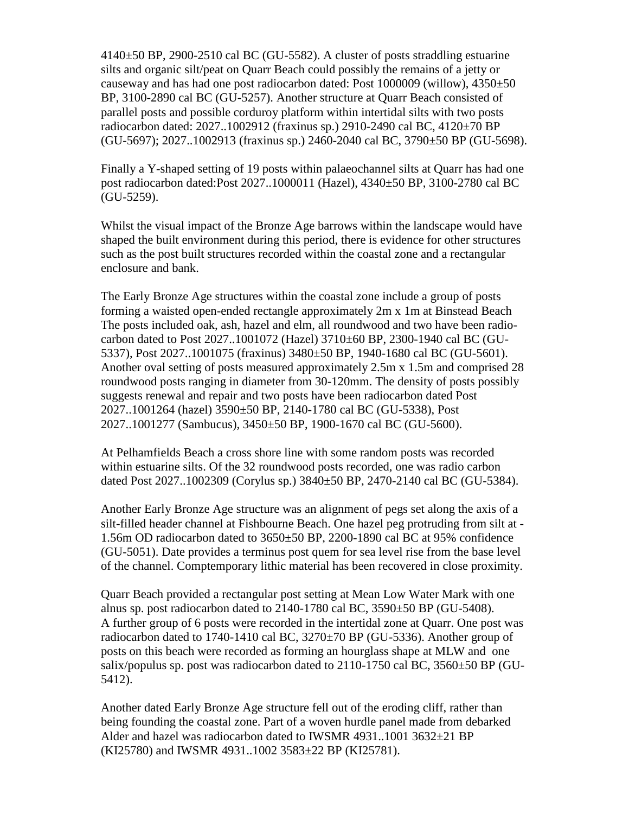4140±50 BP, 2900-2510 cal BC (GU-5582). A cluster of posts straddling estuarine silts and organic silt/peat on Quarr Beach could possibly the remains of a jetty or causeway and has had one post radiocarbon dated: Post  $1000009$  (willow),  $4350\pm50$ BP, 3100-2890 cal BC (GU-5257). Another structure at Quarr Beach consisted of parallel posts and possible corduroy platform within intertidal silts with two posts radiocarbon dated: 2027..1002912 (fraxinus sp.) 2910-2490 cal BC, 4120±70 BP (GU-5697); 2027..1002913 (fraxinus sp.) 2460-2040 cal BC, 3790±50 BP (GU-5698).

Finally a Y-shaped setting of 19 posts within palaeochannel silts at Quarr has had one post radiocarbon dated:Post 2027..1000011 (Hazel), 4340±50 BP, 3100-2780 cal BC (GU-5259).

Whilst the visual impact of the Bronze Age barrows within the landscape would have shaped the built environment during this period, there is evidence for other structures such as the post built structures recorded within the coastal zone and a rectangular enclosure and bank.

The Early Bronze Age structures within the coastal zone include a group of posts forming a waisted open-ended rectangle approximately 2m x 1m at Binstead Beach The posts included oak, ash, hazel and elm, all roundwood and two have been radiocarbon dated to Post 2027..1001072 (Hazel) 3710±60 BP, 2300-1940 cal BC (GU-5337), Post 2027..1001075 (fraxinus) 3480±50 BP, 1940-1680 cal BC (GU-5601). Another oval setting of posts measured approximately 2.5m x 1.5m and comprised 28 roundwood posts ranging in diameter from 30-120mm. The density of posts possibly suggests renewal and repair and two posts have been radiocarbon dated Post 2027..1001264 (hazel) 3590±50 BP, 2140-1780 cal BC (GU-5338), Post 2027..1001277 (Sambucus), 3450±50 BP, 1900-1670 cal BC (GU-5600).

At Pelhamfields Beach a cross shore line with some random posts was recorded within estuarine silts. Of the 32 roundwood posts recorded, one was radio carbon dated Post 2027..1002309 (Corylus sp.) 3840±50 BP, 2470-2140 cal BC (GU-5384).

Another Early Bronze Age structure was an alignment of pegs set along the axis of a silt-filled header channel at Fishbourne Beach. One hazel peg protruding from silt at - 1.56m OD radiocarbon dated to 3650±50 BP, 2200-1890 cal BC at 95% confidence (GU-5051). Date provides a terminus post quem for sea level rise from the base level of the channel. Comptemporary lithic material has been recovered in close proximity.

Quarr Beach provided a rectangular post setting at Mean Low Water Mark with one alnus sp. post radiocarbon dated to 2140-1780 cal BC, 3590±50 BP (GU-5408). A further group of 6 posts were recorded in the intertidal zone at Quarr. One post was radiocarbon dated to 1740-1410 cal BC, 3270±70 BP (GU-5336). Another group of posts on this beach were recorded as forming an hourglass shape at MLW and one salix/populus sp. post was radiocarbon dated to 2110-1750 cal BC, 3560±50 BP (GU-5412).

Another dated Early Bronze Age structure fell out of the eroding cliff, rather than being founding the coastal zone. Part of a woven hurdle panel made from debarked Alder and hazel was radiocarbon dated to IWSMR 4931..1001 3632±21 BP (KI25780) and IWSMR 4931..1002 3583±22 BP (KI25781).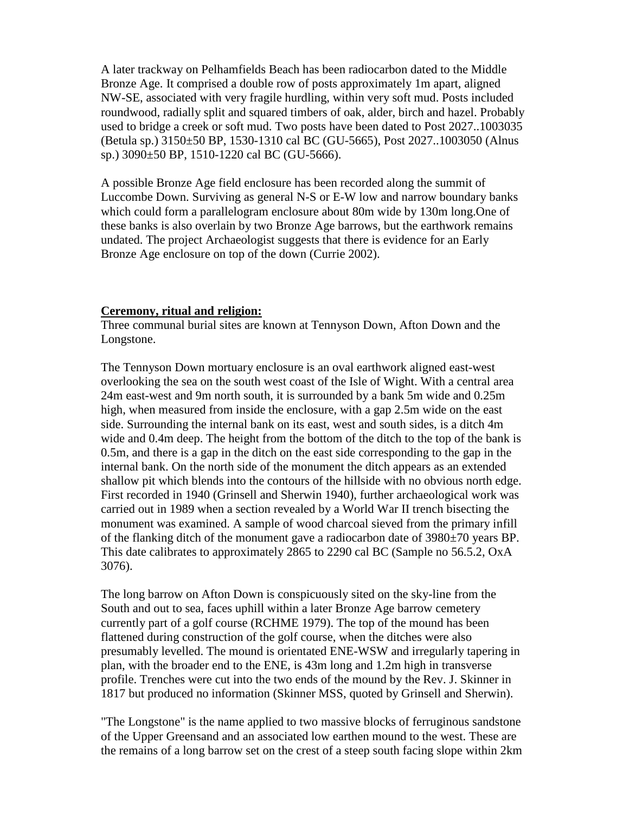A later trackway on Pelhamfields Beach has been radiocarbon dated to the Middle Bronze Age. It comprised a double row of posts approximately 1m apart, aligned NW-SE, associated with very fragile hurdling, within very soft mud. Posts included roundwood, radially split and squared timbers of oak, alder, birch and hazel. Probably used to bridge a creek or soft mud. Two posts have been dated to Post 2027..1003035 (Betula sp.) 3150±50 BP, 1530-1310 cal BC (GU-5665), Post 2027..1003050 (Alnus sp.) 3090±50 BP, 1510-1220 cal BC (GU-5666).

A possible Bronze Age field enclosure has been recorded along the summit of Luccombe Down. Surviving as general N-S or E-W low and narrow boundary banks which could form a parallelogram enclosure about 80m wide by 130m long.One of these banks is also overlain by two Bronze Age barrows, but the earthwork remains undated. The project Archaeologist suggests that there is evidence for an Early Bronze Age enclosure on top of the down (Currie 2002).

#### **Ceremony, ritual and religion:**

Three communal burial sites are known at Tennyson Down, Afton Down and the Longstone.

The Tennyson Down mortuary enclosure is an oval earthwork aligned east-west overlooking the sea on the south west coast of the Isle of Wight. With a central area 24m east-west and 9m north south, it is surrounded by a bank 5m wide and 0.25m high, when measured from inside the enclosure, with a gap 2.5m wide on the east side. Surrounding the internal bank on its east, west and south sides, is a ditch 4m wide and 0.4m deep. The height from the bottom of the ditch to the top of the bank is 0.5m, and there is a gap in the ditch on the east side corresponding to the gap in the internal bank. On the north side of the monument the ditch appears as an extended shallow pit which blends into the contours of the hillside with no obvious north edge. First recorded in 1940 (Grinsell and Sherwin 1940), further archaeological work was carried out in 1989 when a section revealed by a World War II trench bisecting the monument was examined. A sample of wood charcoal sieved from the primary infill of the flanking ditch of the monument gave a radiocarbon date of 3980±70 years BP. This date calibrates to approximately 2865 to 2290 cal BC (Sample no 56.5.2, OxA 3076).

The long barrow on Afton Down is conspicuously sited on the sky-line from the South and out to sea, faces uphill within a later Bronze Age barrow cemetery currently part of a golf course (RCHME 1979). The top of the mound has been flattened during construction of the golf course, when the ditches were also presumably levelled. The mound is orientated ENE-WSW and irregularly tapering in plan, with the broader end to the ENE, is 43m long and 1.2m high in transverse profile. Trenches were cut into the two ends of the mound by the Rev. J. Skinner in 1817 but produced no information (Skinner MSS, quoted by Grinsell and Sherwin).

"The Longstone" is the name applied to two massive blocks of ferruginous sandstone of the Upper Greensand and an associated low earthen mound to the west. These are the remains of a long barrow set on the crest of a steep south facing slope within 2km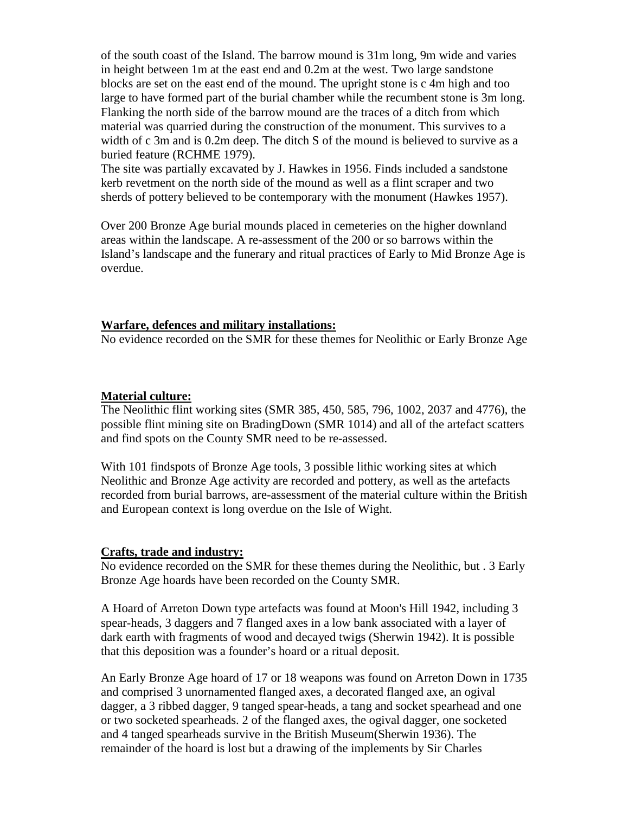of the south coast of the Island. The barrow mound is 31m long, 9m wide and varies in height between 1m at the east end and 0.2m at the west. Two large sandstone blocks are set on the east end of the mound. The upright stone is c 4m high and too large to have formed part of the burial chamber while the recumbent stone is 3m long. Flanking the north side of the barrow mound are the traces of a ditch from which material was quarried during the construction of the monument. This survives to a width of c 3m and is 0.2m deep. The ditch S of the mound is believed to survive as a buried feature (RCHME 1979).

The site was partially excavated by J. Hawkes in 1956. Finds included a sandstone kerb revetment on the north side of the mound as well as a flint scraper and two sherds of pottery believed to be contemporary with the monument (Hawkes 1957).

Over 200 Bronze Age burial mounds placed in cemeteries on the higher downland areas within the landscape. A re-assessment of the 200 or so barrows within the Island's landscape and the funerary and ritual practices of Early to Mid Bronze Age is overdue.

#### **Warfare, defences and military installations:**

No evidence recorded on the SMR for these themes for Neolithic or Early Bronze Age

#### **Material culture:**

The Neolithic flint working sites (SMR 385, 450, 585, 796, 1002, 2037 and 4776), the possible flint mining site on BradingDown (SMR 1014) and all of the artefact scatters and find spots on the County SMR need to be re-assessed.

With 101 findspots of Bronze Age tools, 3 possible lithic working sites at which Neolithic and Bronze Age activity are recorded and pottery, as well as the artefacts recorded from burial barrows, are-assessment of the material culture within the British and European context is long overdue on the Isle of Wight.

#### **Crafts, trade and industry:**

No evidence recorded on the SMR for these themes during the Neolithic, but . 3 Early Bronze Age hoards have been recorded on the County SMR.

A Hoard of Arreton Down type artefacts was found at Moon's Hill 1942, including 3 spear-heads, 3 daggers and 7 flanged axes in a low bank associated with a layer of dark earth with fragments of wood and decayed twigs (Sherwin 1942). It is possible that this deposition was a founder's hoard or a ritual deposit.

An Early Bronze Age hoard of 17 or 18 weapons was found on Arreton Down in 1735 and comprised 3 unornamented flanged axes, a decorated flanged axe, an ogival dagger, a 3 ribbed dagger, 9 tanged spear-heads, a tang and socket spearhead and one or two socketed spearheads. 2 of the flanged axes, the ogival dagger, one socketed and 4 tanged spearheads survive in the British Museum(Sherwin 1936). The remainder of the hoard is lost but a drawing of the implements by Sir Charles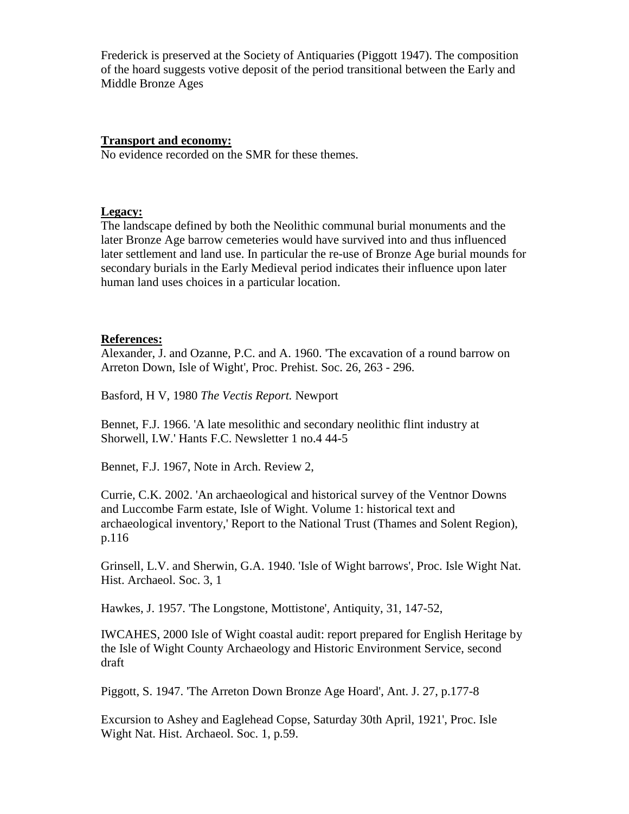Frederick is preserved at the Society of Antiquaries (Piggott 1947). The composition of the hoard suggests votive deposit of the period transitional between the Early and Middle Bronze Ages

### **Transport and economy:**

No evidence recorded on the SMR for these themes.

### **Legacy:**

The landscape defined by both the Neolithic communal burial monuments and the later Bronze Age barrow cemeteries would have survived into and thus influenced later settlement and land use. In particular the re-use of Bronze Age burial mounds for secondary burials in the Early Medieval period indicates their influence upon later human land uses choices in a particular location.

# **References:**

Alexander, J. and Ozanne, P.C. and A. 1960. 'The excavation of a round barrow on Arreton Down, Isle of Wight', Proc. Prehist. Soc. 26, 263 - 296.

Basford, H V, 1980 *The Vectis Report.* Newport

Bennet, F.J. 1966. 'A late mesolithic and secondary neolithic flint industry at Shorwell, I.W.' Hants F.C. Newsletter 1 no.4 44-5

Bennet, F.J. 1967, Note in Arch. Review 2,

Currie, C.K. 2002. 'An archaeological and historical survey of the Ventnor Downs and Luccombe Farm estate, Isle of Wight. Volume 1: historical text and archaeological inventory,' Report to the National Trust (Thames and Solent Region), p.116

Grinsell, L.V. and Sherwin, G.A. 1940. 'Isle of Wight barrows', Proc. Isle Wight Nat. Hist. Archaeol. Soc. 3, 1

Hawkes, J. 1957. 'The Longstone, Mottistone', Antiquity, 31, 147-52,

IWCAHES, 2000 Isle of Wight coastal audit: report prepared for English Heritage by the Isle of Wight County Archaeology and Historic Environment Service, second draft

Piggott, S. 1947. 'The Arreton Down Bronze Age Hoard', Ant. J. 27, p.177-8

Excursion to Ashey and Eaglehead Copse, Saturday 30th April, 1921', Proc. Isle Wight Nat. Hist. Archaeol. Soc. 1, p.59.